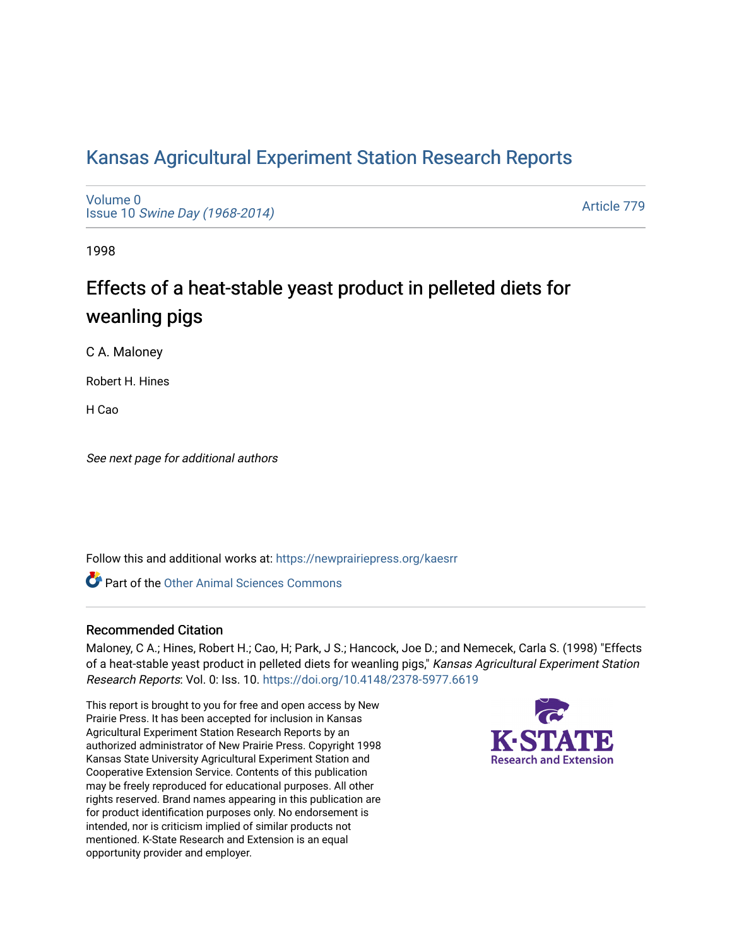## [Kansas Agricultural Experiment Station Research Reports](https://newprairiepress.org/kaesrr)

[Volume 0](https://newprairiepress.org/kaesrr/vol0) Issue 10 [Swine Day \(1968-2014\)](https://newprairiepress.org/kaesrr/vol0/iss10)

[Article 779](https://newprairiepress.org/kaesrr/vol0/iss10/779) 

1998

# Effects of a heat-stable yeast product in pelleted diets for weanling pigs

C A. Maloney

Robert H. Hines

H Cao

See next page for additional authors

Follow this and additional works at: [https://newprairiepress.org/kaesrr](https://newprairiepress.org/kaesrr?utm_source=newprairiepress.org%2Fkaesrr%2Fvol0%2Fiss10%2F779&utm_medium=PDF&utm_campaign=PDFCoverPages) 

**C** Part of the [Other Animal Sciences Commons](http://network.bepress.com/hgg/discipline/82?utm_source=newprairiepress.org%2Fkaesrr%2Fvol0%2Fiss10%2F779&utm_medium=PDF&utm_campaign=PDFCoverPages)

#### Recommended Citation

Maloney, C A.; Hines, Robert H.; Cao, H; Park, J S.; Hancock, Joe D.; and Nemecek, Carla S. (1998) "Effects of a heat-stable yeast product in pelleted diets for weanling pigs," Kansas Agricultural Experiment Station Research Reports: Vol. 0: Iss. 10. <https://doi.org/10.4148/2378-5977.6619>

This report is brought to you for free and open access by New Prairie Press. It has been accepted for inclusion in Kansas Agricultural Experiment Station Research Reports by an authorized administrator of New Prairie Press. Copyright 1998 Kansas State University Agricultural Experiment Station and Cooperative Extension Service. Contents of this publication may be freely reproduced for educational purposes. All other rights reserved. Brand names appearing in this publication are for product identification purposes only. No endorsement is intended, nor is criticism implied of similar products not mentioned. K-State Research and Extension is an equal opportunity provider and employer.

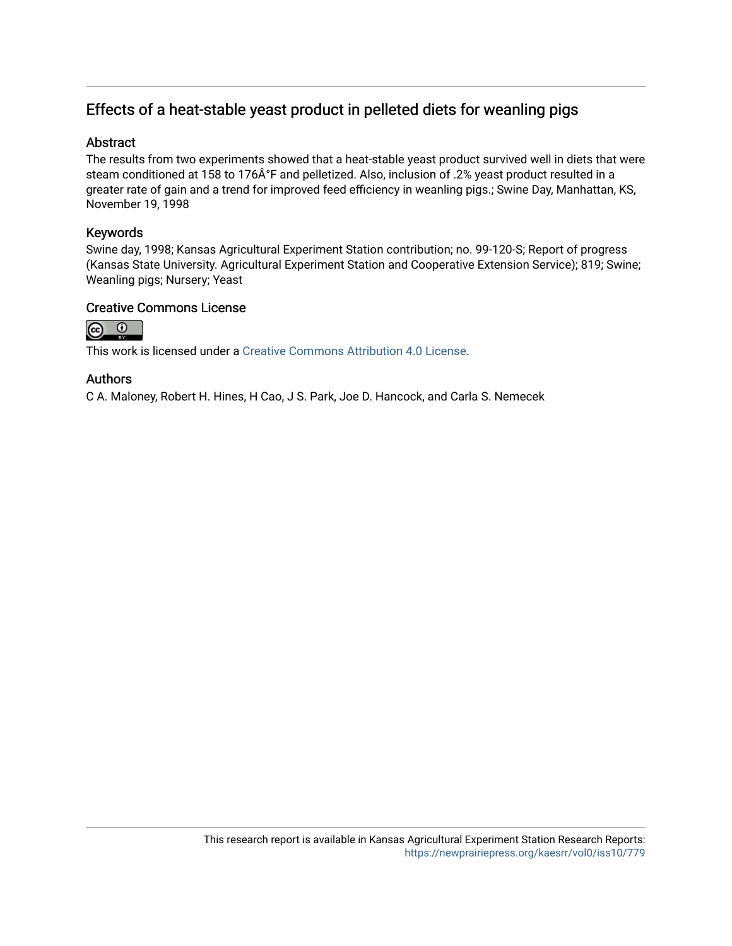### Effects of a heat-stable yeast product in pelleted diets for weanling pigs

#### **Abstract**

The results from two experiments showed that a heat-stable yeast product survived well in diets that were steam conditioned at 158 to 176°F and pelletized. Also, inclusion of .2% yeast product resulted in a greater rate of gain and a trend for improved feed efficiency in weanling pigs.; Swine Day, Manhattan, KS, November 19, 1998

#### Keywords

Swine day, 1998; Kansas Agricultural Experiment Station contribution; no. 99-120-S; Report of progress (Kansas State University. Agricultural Experiment Station and Cooperative Extension Service); 819; Swine; Weanling pigs; Nursery; Yeast

#### Creative Commons License



This work is licensed under a [Creative Commons Attribution 4.0 License](https://creativecommons.org/licenses/by/4.0/).

#### Authors

C A. Maloney, Robert H. Hines, H Cao, J S. Park, Joe D. Hancock, and Carla S. Nemecek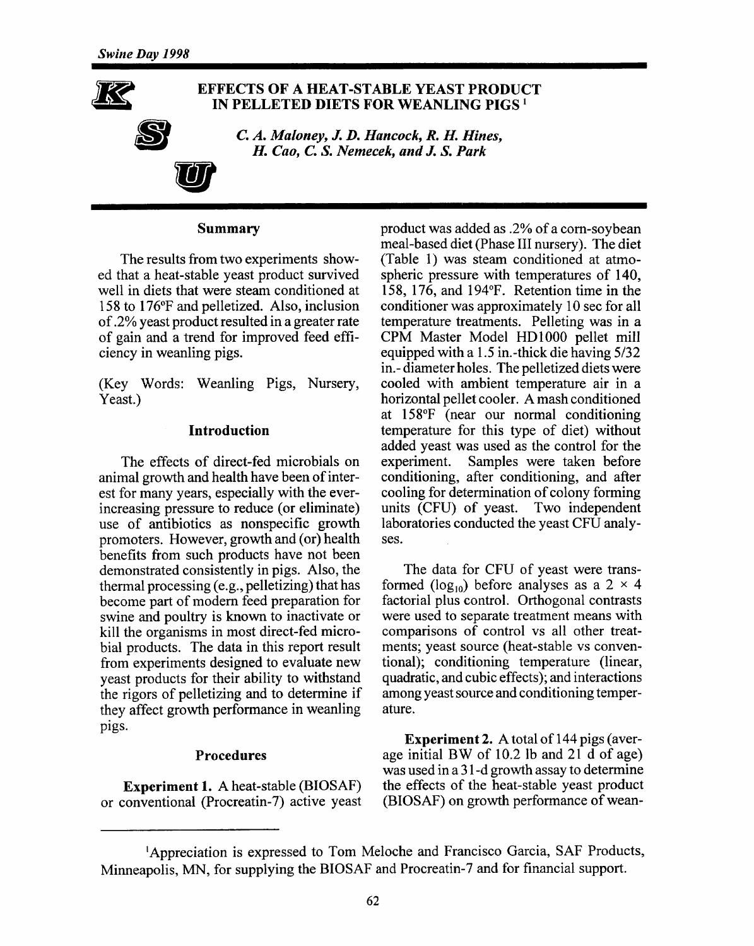

#### **EFFECTS OF A HEAT-STABLE YEAST PRODUCT** IN PELLETED DIETS FOR WEANLING PIGS<sup>1</sup>

C. A. Maloney, J. D. Hancock, R. H. Hines. H. Cao, C. S. Nemecek, and J. S. Park

#### Summarv

The results from two experiments showed that a heat-stable yeast product survived well in diets that were steam conditioned at 158 to 176°F and pelletized. Also, inclusion of .2% yeast product resulted in a greater rate of gain and a trend for improved feed efficiency in weanling pigs.

(Key Words: Weanling Pigs, Nursery, Yeast.)

#### **Introduction**

The effects of direct-fed microbials on animal growth and health have been of interest for many years, especially with the everincreasing pressure to reduce (or eliminate) use of antibiotics as nonspecific growth promoters. However, growth and (or) health benefits from such products have not been demonstrated consistently in pigs. Also, the thermal processing (e.g., pelletizing) that has become part of modern feed preparation for swine and poultry is known to inactivate or kill the organisms in most direct-fed microbial products. The data in this report result from experiments designed to evaluate new yeast products for their ability to withstand the rigors of pelletizing and to determine if they affect growth performance in weanling pigs.

#### Procedures

Experiment 1. A heat-stable (BIOSAF) or conventional (Procreatin-7) active yeast product was added as .2% of a corn-soybean meal-based diet (Phase III nursery). The diet (Table 1) was steam conditioned at atmospheric pressure with temperatures of 140, 158, 176, and 194°F. Retention time in the conditioner was approximately 10 sec for all temperature treatments. Pelleting was in a CPM Master Model HD1000 pellet mill equipped with a 1.5 in.-thick die having 5/32 in.-diameter holes. The pelletized diets were cooled with ambient temperature air in a horizontal pellet cooler. A mash conditioned at 158°F (near our normal conditioning temperature for this type of diet) without added yeast was used as the control for the experiment. Samples were taken before conditioning, after conditioning, and after cooling for determination of colony forming units (CFU) of yeast. Two independent laboratories conducted the yeast CFU analyses.

The data for CFU of yeast were transformed ( $log_{10}$ ) before analyses as a 2  $\times$  4 factorial plus control. Orthogonal contrasts were used to separate treatment means with comparisons of control vs all other treatments; yeast source (heat-stable vs conventional); conditioning temperature (linear, quadratic, and cubic effects); and interactions among yeast source and conditioning temperature.

**Experiment 2.** A total of 144 pigs (average initial BW of 10.2 lb and 21 d of age) was used in a 31-d growth assay to determine the effects of the heat-stable yeast product (BIOSAF) on growth performance of wean-

<sup>&</sup>lt;sup>1</sup>Appreciation is expressed to Tom Meloche and Francisco Garcia, SAF Products, Minneapolis, MN, for supplying the BIOSAF and Procreatin-7 and for financial support.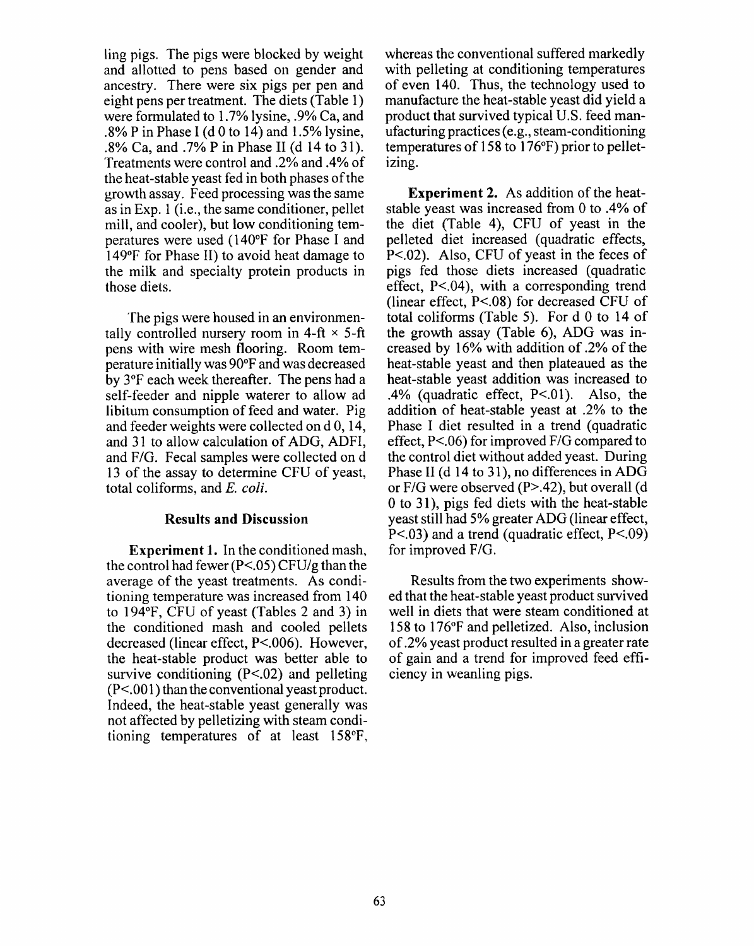ling pigs. The pigs were blocked by weight and allotted to pens based on gender and ancestry. There were six pigs per pen and eight pens per treatment. The diets (Table 1) were formulated to 1.7% lysine, .9% Ca, and .8% P in Phase I (d 0 to 14) and  $1.5\%$  lysine, .8% Ca, and .7% P in Phase II (d 14 to 31). Treatments were control and .2% and .4% of the heat-stable yeast fed in both phases of the growth assay. Feed processing was the same as in Exp. 1 (i.e., the same conditioner, pellet mill, and cooler), but low conditioning temperatures were used (140°F for Phase I and 149°F for Phase II) to avoid heat damage to the milk and specialty protein products in those diets.

The pigs were housed in an environmentally controlled nursery room in 4-ft  $\times$  5-ft pens with wire mesh flooring. Room temperature initially was 90°F and was decreased by 3°F each week thereafter. The pens had a self-feeder and nipple waterer to allow ad libitum consumption of feed and water. Pig. and feeder weights were collected on d 0, 14. and 31 to allow calculation of ADG, ADFI, and F/G. Fecal samples were collected on d 13 of the assay to determine CFU of yeast, total coliforms, and E. coli.

#### **Results and Discussion**

**Experiment 1.** In the conditioned mash, the control had fewer ( $P < .05$ ) CFU/g than the average of the yeast treatments. As conditioning temperature was increased from 140 to 194°F, CFU of yeast (Tables 2 and 3) in the conditioned mash and cooled pellets decreased (linear effect, P<.006). However, the heat-stable product was better able to survive conditioning  $(P<.02)$  and pelleting  $(P<.001)$  than the conventional yeast product. Indeed, the heat-stable yeast generally was not affected by pelletizing with steam conditioning temperatures of at least 158°F,

whereas the conventional suffered markedly with pelleting at conditioning temperatures of even 140. Thus, the technology used to manufacture the heat-stable yeast did yield a product that survived typical U.S. feed manufacturing practices (e.g., steam-conditioning temperatures of 158 to 176°F) prior to pelletizing.

**Experiment 2.** As addition of the heatstable yeast was increased from 0 to .4% of the diet (Table 4). CFU of yeast in the pelleted diet increased (quadratic effects,  $P<.02$ ). Also, CFU of yeast in the feces of pigs fed those diets increased (quadratic effect,  $P < 04$ ), with a corresponding trend (linear effect,  $P < 08$ ) for decreased CFU of total coliforms (Table 5). For d 0 to 14 of the growth assay (Table 6), ADG was increased by 16% with addition of .2% of the heat-stable yeast and then plateaued as the heat-stable yeast addition was increased to .4% (quadratic effect,  $P<.01$ ). Also, the addition of heat-stable yeast at .2% to the Phase I diet resulted in a trend (quadratic effect,  $P<0.06$  for improved  $F/G$  compared to the control diet without added yeast. During Phase II (d 14 to 31), no differences in ADG or F/G were observed (P>.42), but overall (d 0 to 31), pigs fed diets with the heat-stable yeast still had 5% greater ADG (linear effect,  $P<.03$ ) and a trend (quadratic effect,  $P<.09$ ) for improved F/G.

Results from the two experiments showed that the heat-stable veast product survived well in diets that were steam conditioned at 158 to 176°F and pelletized. Also, inclusion of .2% yeast product resulted in a greater rate of gain and a trend for improved feed efficiency in weanling pigs.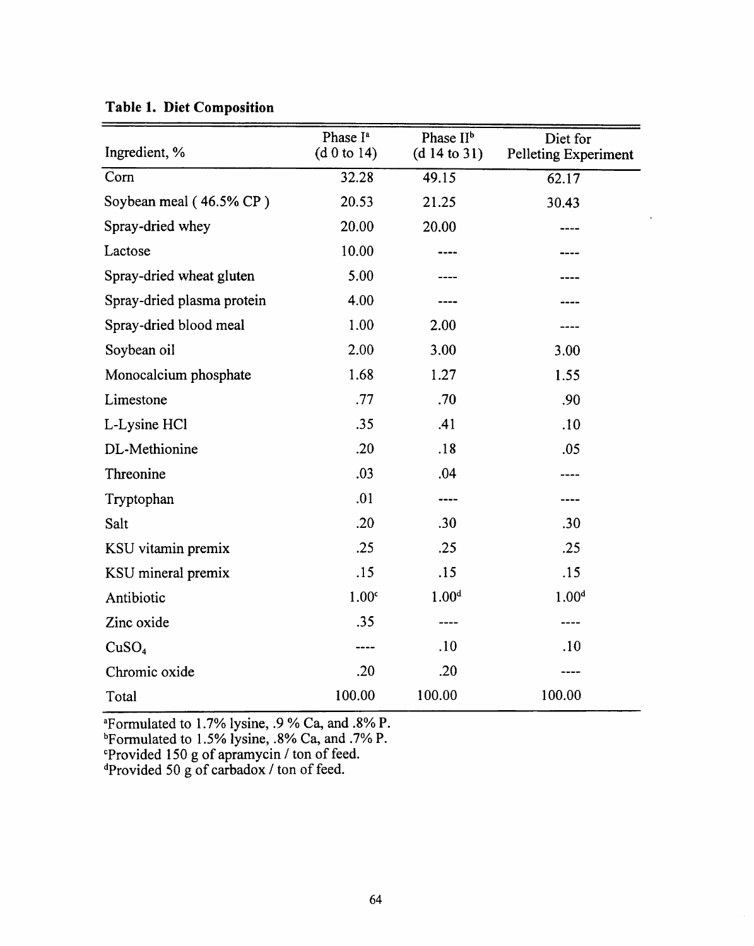| Ingredient, %              | Phase I <sup>a</sup><br>(d 0 to 14) | Phase II <sup>b</sup><br>(d 14 to 31) | Diet for<br>Pelleting Experiment |
|----------------------------|-------------------------------------|---------------------------------------|----------------------------------|
| Corn                       | 32.28                               | 49.15                                 | 62.17                            |
| Soybean meal (46.5% CP)    | 20.53                               | 21.25                                 | 30.43                            |
| Spray-dried whey           | 20.00                               | 20.00                                 |                                  |
| Lactose                    | 10.00                               |                                       |                                  |
| Spray-dried wheat gluten   | 5.00                                |                                       |                                  |
| Spray-dried plasma protein | 4.00                                |                                       |                                  |
| Spray-dried blood meal     | 1.00                                | 2.00                                  |                                  |
| Soybean oil                | 2.00                                | 3.00                                  | 3.00                             |
| Monocalcium phosphate      | 1.68                                | 1.27                                  | 1.55                             |
| Limestone                  | .77                                 | .70                                   | .90                              |
| L-Lysine HCl               | .35                                 | .41                                   | .10                              |
| DL-Methionine              | .20                                 | .18                                   | .05                              |
| Threonine                  | .03                                 | .04                                   |                                  |
| Tryptophan                 | .01                                 | ----                                  |                                  |
| Salt                       | .20                                 | .30                                   | .30                              |
| KSU vitamin premix         | .25                                 | .25                                   | .25                              |
| KSU mineral premix         | .15                                 | .15                                   | .15                              |
| Antibiotic                 | 1.00 <sup>c</sup>                   | 1.00 <sup>d</sup>                     | 1.00 <sup>d</sup>                |
| Zinc oxide                 | .35                                 | ----                                  |                                  |
| CuSO <sub>4</sub>          |                                     | .10                                   | .10                              |
| Chromic oxide              | .20                                 | .20                                   |                                  |
| Total                      | 100.00                              | 100.00                                | 100.00                           |

 $\ddot{\phantom{a}}$ 

Table 1. Diet Composition

<sup>a</sup>Formulated to 1.7% lysine, .9 % Ca, and .8% P.<br><sup>b</sup>Formulated to 1.5% lysine, .8% Ca, and .7% P.<br><sup>c</sup>Provided 150 g of apramycin / ton of feed.<br><sup>d</sup>Provided 50 g of carbadox / ton of feed.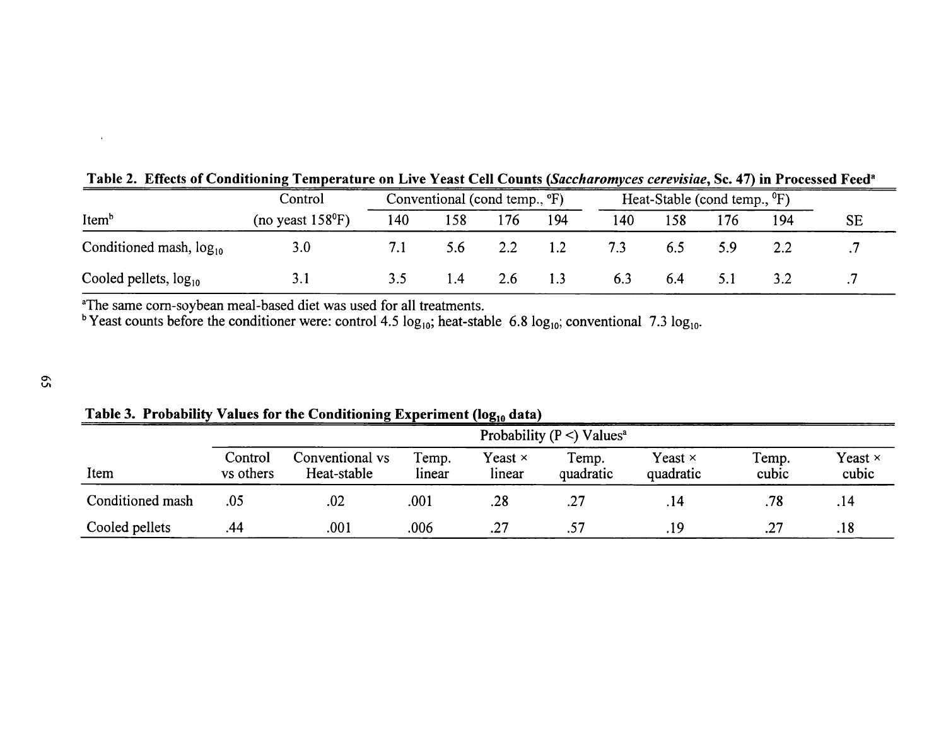|                              | Control                    | Conventional (cond temp., $\mathrm{P}F$ ) |     |     |     | Heat-Stable (cond temp., ${}^{\circ}$ F) |     |     |     |    |
|------------------------------|----------------------------|-------------------------------------------|-----|-----|-----|------------------------------------------|-----|-----|-----|----|
| Itemb                        | (no yeast $158^{\circ}F$ ) | 140                                       | 58ء | 176 | 194 | 140                                      |     | 176 | 194 | SE |
| Conditioned mash, $log_{10}$ | 3.0                        |                                           | 5.6 |     |     |                                          | 6.5 | 5.9 |     |    |
| Cooled pellets, $log_{10}$   |                            |                                           | 1.4 | 2.b | 1.3 | 6.3                                      | 6.4 |     |     |    |

Table 2. Effects of Conditioning Temperature on Live Yeast Cell Counts (Saccharomyces cerevisiae, Sc. 47) in Processed Feed<sup>a</sup>

The same corn-soybean meal-based diet was used for all treatments.<br>
bYeast counts before the conditioner were: control 4.5  $log_{10}$ ; heat-stable 6.8  $log_{10}$ ; conventional 7.3  $log_{10}$ .

|                  | Probability ( $P \leq$ ) Values <sup>a</sup> |                                |                 |                          |                    |                             |                |                         |  |
|------------------|----------------------------------------------|--------------------------------|-----------------|--------------------------|--------------------|-----------------------------|----------------|-------------------------|--|
| Item             | Control<br>vs others                         | Conventional vs<br>Heat-stable | Temp.<br>linear | Yeast $\times$<br>linear | Temp.<br>quadratic | Yeast $\times$<br>quadratic | Temp.<br>cubic | Yeast $\times$<br>cubic |  |
| Conditioned mash | .05                                          | .02                            | .001            | .28                      | .27                | .14                         | .78            | .14                     |  |
| Cooled pellets   | .44                                          | .001                           | .006            | .27                      |                    | .19                         | .27            | .18                     |  |

Table 3. Probability Values for the Conditioning Experiment ( $log_{10}$  data)